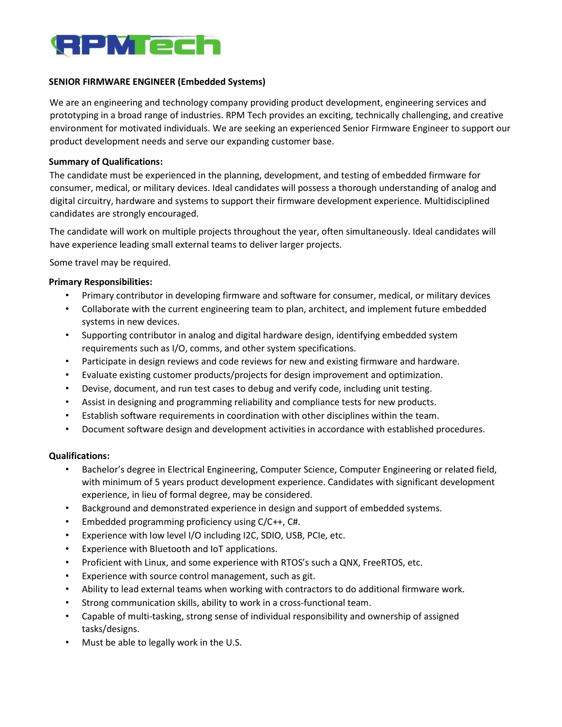

## SENIOR FIRMWARE ENGINEER (Embedded Systems)

We are an engineering and technology company providing product development, engineering services and prototyping in a broad range of industries. RPM Tech provides an exciting, technically challenging, and creative environment for motivated individuals. We are seeking an experienced Senior Firmware Engineer to support our product development needs and serve our expanding customer base.

### Summary of Qualifications:

The candidate must be experienced in the planning, development, and testing of embedded firmware for consumer, medical, or military devices. Ideal candidates will possess a thorough understanding of analog and digital circuitry, hardware and systems to support their firmware development experience. Multidisciplined candidates are strongly encouraged.

The candidate will work on multiple projects throughout the year, often simultaneously. Ideal candidates will have experience leading small external teams to deliver larger projects.

Some travel may be required.

### Primary Responsibilities:

- Primary contributor in developing firmware and software for consumer, medical, or military devices
- Collaborate with the current engineering team to plan, architect, and implement future embedded systems in new devices.
- Supporting contributor in analog and digital hardware design, identifying embedded system requirements such as I/O, comms, and other system specifications.
- Participate in design reviews and code reviews for new and existing firmware and hardware.
- Evaluate existing customer products/projects for design improvement and optimization.
- Devise, document, and run test cases to debug and verify code, including unit testing.
- Assist in designing and programming reliability and compliance tests for new products.
- Establish software requirements in coordination with other disciplines within the team.
- Document software design and development activities in accordance with established procedures.

#### Qualifications:

- Bachelor's degree in Electrical Engineering, Computer Science, Computer Engineering or related field, with minimum of 5 years product development experience. Candidates with significant development experience, in lieu of formal degree, may be considered.
- Background and demonstrated experience in design and support of embedded systems.
- Embedded programming proficiency using C/C++, C#.
- Experience with low level I/O including I2C, SDIO, USB, PCIe, etc.
- Experience with Bluetooth and IoT applications.
- Proficient with Linux, and some experience with RTOS's such a QNX, FreeRTOS, etc.
- Experience with source control management, such as git.
- Ability to lead external teams when working with contractors to do additional firmware work.
- Strong communication skills, ability to work in a cross-functional team.
- Capable of multi‐tasking, strong sense of individual responsibility and ownership of assigned tasks/designs.
- Must be able to legally work in the U.S.